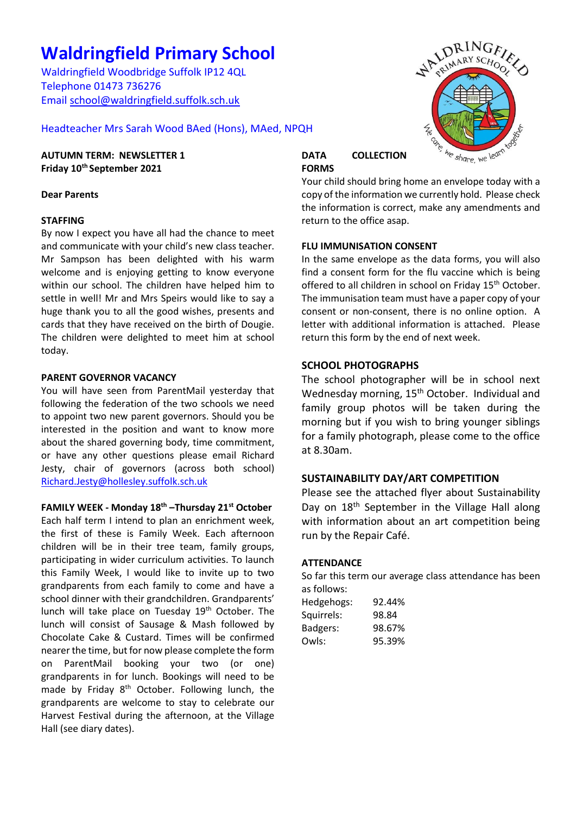# **Waldringfield Primary School**

Waldringfield Woodbridge Suffolk IP12 4QL Telephone 01473 736276 Email [school@waldringfield.suffolk.sch.uk](mailto:school@waldringfield.suffolk.sch.uk)

Headteacher Mrs Sarah Wood BAed (Hons), MAed, NPQH

# **AUTUMN TERM: NEWSLETTER 1 Friday 10th September 2021**

# **Dear Parents**

# **STAFFING**

By now I expect you have all had the chance to meet and communicate with your child's new class teacher. Mr Sampson has been delighted with his warm welcome and is enjoying getting to know everyone within our school. The children have helped him to settle in well! Mr and Mrs Speirs would like to say a huge thank you to all the good wishes, presents and cards that they have received on the birth of Dougie. The children were delighted to meet him at school today.

# **PARENT GOVERNOR VACANCY**

You will have seen from ParentMail yesterday that following the federation of the two schools we need to appoint two new parent governors. Should you be interested in the position and want to know more about the shared governing body, time commitment, or have any other questions please email Richard Jesty, chair of governors (across both school) [Richard.Jesty@hollesley.suffolk.sch.uk](mailto:Richard.Jesty@hollesley.suffolk.sch.uk)

# **FAMILY WEEK - Monday 18th –Thursday 21st October**

Each half term I intend to plan an enrichment week, the first of these is Family Week. Each afternoon children will be in their tree team, family groups, participating in wider curriculum activities. To launch this Family Week, I would like to invite up to two grandparents from each family to come and have a school dinner with their grandchildren. Grandparents' lunch will take place on Tuesday 19<sup>th</sup> October. The lunch will consist of Sausage & Mash followed by Chocolate Cake & Custard. Times will be confirmed nearer the time, but for now please complete the form on ParentMail booking your two (or one) grandparents in for lunch. Bookings will need to be made by Friday  $8<sup>th</sup>$  October. Following lunch, the grandparents are welcome to stay to celebrate our Harvest Festival during the afternoon, at the Village Hall (see diary dates).



# **DATA COLLECTION FORMS**

Your child should bring home an envelope today with a copy of the information we currently hold. Please check the information is correct, make any amendments and return to the office asap.

# **FLU IMMUNISATION CONSENT**

In the same envelope as the data forms, you will also find a consent form for the flu vaccine which is being offered to all children in school on Friday 15<sup>th</sup> October. The immunisation team must have a paper copy of your consent or non-consent, there is no online option. A letter with additional information is attached. Please return this form by the end of next week.

# **SCHOOL PHOTOGRAPHS**

The school photographer will be in school next Wednesday morning, 15<sup>th</sup> October. Individual and family group photos will be taken during the morning but if you wish to bring younger siblings for a family photograph, please come to the office at 8.30am.

# **SUSTAINABILITY DAY/ART COMPETITION**

Please see the attached flyer about Sustainability Day on 18<sup>th</sup> September in the Village Hall along with information about an art competition being run by the Repair Café.

### **ATTENDANCE**

So far this term our average class attendance has been as follows:

| Hedgehogs: | 92.44% |
|------------|--------|
| Squirrels: | 98.84  |
| Badgers:   | 98.67% |
| Owls:      | 95.39% |